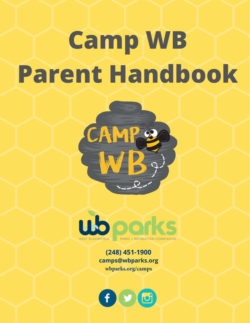# **Camp WB Parent Handbook**





### **(248) 451-1900 camps@wbparks.org wbparks.org/camps**

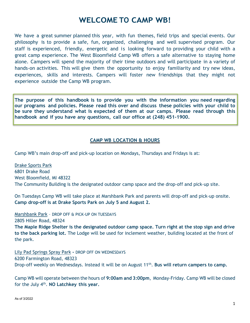## **WELCOME TO CAMP WB!**

We have a great summer planned this year, with fun themes, field trips and special events. Our philosophy is to provide a safe, fun, organized, challenging and well supervised program. Our staff is experienced, friendly, energetic and is looking forward to providing your child with a great camp experience. The West Bloomfield Camp WB offers a safe alternative to staying home alone. Campers will spend the majority of their time outdoors and will participate in a variety of hands-on activities. This will give them the opportunity to enjoy familiarity and try new ideas, experiences, skills and interests. Campers will foster new friendships that they might not experience outside the Camp WB program.

**The purpose of this handbook is to provide you with the information you need regarding our programs and policies. Please read this over and discuss these policies with your child to be sure they understand what is expected of them at our camps. Please read through this handbook and if you have any questions, call our office at (248) 451-1900.**

#### **CAMP WB LOCATION & HOURS**

Camp WB's main drop-off and pick-up location on Mondays, Thursdays and Fridays is at:

Drake Sports Park 6801 Drake Road West Bloomfield, MI 48322 The Community Building is the designated outdoor camp space and the drop-off and pick-up site.

On Tuesdays Camp WB will take place at Marshbank Park and parents will drop-off and pick-up onsite. **Camp drop-off is at Drake Sports Park on July 5 and August 2.**

Marshbank Park – DROP OFF & PICK-UP ON TUESDAYS 2805 Hiller Road, 48324

**The Maple Ridge Shelter is the designated outdoor camp space. Turn right at the stop sign and drive to the back parking lot.** The Lodge will be used for inclement weather, building located at the front of the park.

Lily Pad Springs Spray Park **-** DROP OFF ON WEDNESDAYS 6200 Farmington Road, 48323 Drop-off weekly on Wednesdays. Instead it will be on August 11th. **Bus will return campers to camp.** 

Camp WB will operate between the hours of **9:00am and 3:00pm**, Monday-Friday. Camp WB will be closed for the July 4th. **NO Latchkey this year.**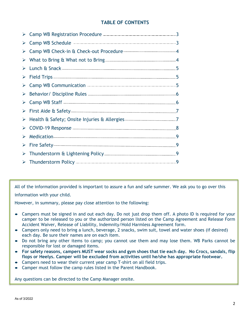#### **TABLE OF CONTENTS**

|                       | > Camp WB Registration Procedure <b>Engineering Community</b> 3                                                                                                                                                                      |  |
|-----------------------|--------------------------------------------------------------------------------------------------------------------------------------------------------------------------------------------------------------------------------------|--|
| ➤                     | Camp WB Schedule <b>Camp WB</b> Schedule 3                                                                                                                                                                                           |  |
| ➤                     | Camp WB Check-in & Check-out Procedure <b>Camp WB</b> Check-in 4                                                                                                                                                                     |  |
| ➤                     |                                                                                                                                                                                                                                      |  |
| ➤                     |                                                                                                                                                                                                                                      |  |
| $\blacktriangleright$ |                                                                                                                                                                                                                                      |  |
| ➤                     | Camp WB Communication <b>Exercise Similar Service Service Similar Similar Similar Similar Similar Similar Similar Similar Similar Similar Similar Similar Similar Similar Similar Similar Similar Similar Similar Similar Simila</b> |  |
| ➤                     | Behavior/Discipline Rules                                                                                                                                                                                                            |  |
| ➤                     |                                                                                                                                                                                                                                      |  |
| $\blacktriangleright$ |                                                                                                                                                                                                                                      |  |
| $\blacktriangleright$ | Health & Safety; Onsite Injuries & Allergies                                                                                                                                                                                         |  |
| ➤                     | COVID-19 Response <u>COVID-19</u> Response 2014                                                                                                                                                                                      |  |
|                       |                                                                                                                                                                                                                                      |  |
|                       |                                                                                                                                                                                                                                      |  |
| ➤                     |                                                                                                                                                                                                                                      |  |
| $\blacktriangleright$ |                                                                                                                                                                                                                                      |  |

All of the information provided is important to assure a fun and safe summer. We ask you to go over this information with your child.

However, in summary, please pay close attention to the following:

- Campers must be signed in and out each day. Do not just drop them off. A photo ID is required for your camper to be released to you or the authorized person listed on the Camp Agreement and Release Form Accident Waiver, Release of Liability, Indemnity/Hold Harmless Agreement form.
- Campers only need to bring a lunch, beverage, 2 snacks, swim suit, towel and water shoes (if desired) each day. Be sure their names are on each item.
- Do not bring any other items to camp; you cannot use them and may lose them. WB Parks cannot be responsible for lost or damaged items.
- **For safety reasons, campers MUST wear socks and gym shoes that tie each day. No Crocs, sandals, flip flops or Heelys. Camper will be excluded from activities until he/she has appropriate footwear.**
- Campers need to wear their current year camp T-shirt on all field trips.
- Camper must follow the camp rules listed in the Parent Handbook.

Any questions can be directed to the Camp Manager onsite.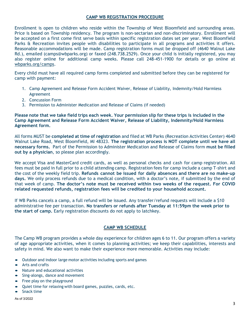#### **CAMP WB REGISTRATION PROCEDURE**

Enrollment is open to children who reside within the Township of West Bloomfield and surrounding areas. Price is based on Township residency. The program is non-sectarian and non-discriminatory. Enrollment will be accepted on a first come first serve basis within specific registration dates set per year. West Bloomfield Parks & Recreation invites people with disabilities to participate in all programs and activities it offers. Reasonable accommodations will be made. Camp registration forms must be dropped off (4640 Walnut Lake Rd.), emailed (camps@wbparks.org) or faxed (248.738.2529). Once your child is initially registered, you may also register online for additional camp weeks. Please call 248-451-1900 for details or go online at [wbparks.org/c](http://www.wbparks.org/)amps.

Every child must have all required camp forms completed and submitted before they can be registered for camp with payment:

- 1. Camp Agreement and Release Form Accident Waiver, Release of Liability, Indemnity/Hold Harmless Agreement
- 2. Concussion Form
- 3. Permission to Administer Medication and Release of Claims (if needed)

**Please note that we take field trips each week. Your permission slip for these trips is included in the Camp Agreement and Release Form Accident Waiver, Release of Liability, Indemnity/Hold Harmless Agreement form.**

All forms MUST be **completed at time of registration** and filed at WB Parks (Recreation Activities Center) 4640 Walnut Lake Road, West Bloomfield, MI 48323. **The registration process is NOT complete until we have all necessary forms.** Part of the Permission to Administer Medication and Release of Claims form **must be filled out by a physician**, so please plan accordingly.

We accept Visa and MasterCard credit cards, as well as personal checks and cash for camp registration. All fees must be paid in full prior to a child attending camp. Registration fees for camp include a camp T-shirt and the cost of the weekly field trip. **Refunds cannot be issued for daily absences and there are no make-up days.** We only process refunds due to a medical condition, with a doctor's note, if submitted by the end of that week of camp. **The doctor's note must be received within two weeks of the request. For COVID related requested refunds, registration fees will be credited to your household account.**

If WB Parks cancels a camp, a full refund will be issued. Any transfer/refund requests will include a \$10 administrative fee per transaction. **No transfers or refunds after Tuesday at 11:59pm the week prior to the start of camp.** Early registration discounts do not apply to latchkey.

#### **CAMP WB SCHEDULE**

The Camp WB program provides a whole day experience for children ages 6 to 11. Our program offers a variety of age appropriate activities, when it comes to planning activities; we keep their capabilities, interests and safety in mind. We also want to make their experience more memorable. Activities may include:

- Outdoor and indoor large motor activities including sports and games
- Arts and crafts
- Nature and educational activities
- Sing-alongs, dance and movement
- Free play on the playground
- Quiet time for relaxing with board games, puzzles, cards, etc.
- Snack time

#### As of 3/2022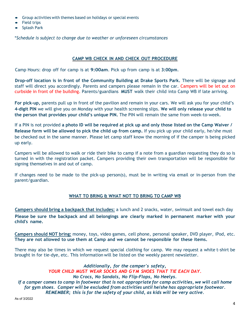- Group activities with themes based on holidays or special events
- Field trips
- Splash Park

\**Schedule is subject to change due to weather or unforeseen circumstances*

#### **CAMP WB CHECK IN AND CHECK OUT PROCEDURE**

Camp Hours: drop off for camp is at **9:00am**. Pick up from camp is at **3:00pm**.

**Drop-off location is in front of the Community Building at Drake Sports Park.** There will be signage and staff will direct you accordingly. Parents and campers please remain in the car. Campers will be let out on curbside in front of the building. Parents/guardians **MUST** walk their child into Camp WB if late arriving.

**For pick-up,** parents pull up in front of the pavilion and remain in your cars. We will ask you for your child's **4-digit PIN** we will give you on Monday with your health screening slips. **We will only release your child to the person that provides your child's unique PIN.** The PIN will remain the same from week-to-week.

If a PIN is not provided **a photo ID will be required at pick up and only those listed on the Camp Waiver / Release form will be allowed to pick the child up from camp.** If you pick up your child early, he/she must be checked out in the same manner. Please let camp staff know the morning of if the camper is being picked up early.

Campers will be allowed to walk or ride their bike to camp if a note from a guardian requesting they do so is turned in with the registration packet. Campers providing their own transportation will be responsible for signing themselves in and out of camp.

If changes need to be made to the pick-up person(s), must be in writing via email or in-person from the parent/guardian.

#### **WHAT TO BRING & WHAT NOT TO BRING TO CAMP WB**

**Campers should bring a backpack that includes:** a lunch and 2 snacks, water, swimsuit and towel each day **Please be sure the backpack and all belongings are clearly marked in permanent marker with your child's name.**

**Campers should NOT bring:** money, toys, video games, cell phone, personal speaker, DVD player, iPod, etc. **They are not allowed to use them at Camp and we cannot be responsible for these items.**

There may also be times in which we request special clothing for camp. We may request a white t-shirt be brought in for tie-dye, etc. This information will be listed on the weekly parent newsletter.

*Additionally, for the camper's safety, YOUR CHILD MUST WEAR SOCKS AND GYM SHOES THAT TIE EACH DAY. No Crocs, No Sandals, No Flip-Flops, No Heelys. If a camper comes to camp in footwear that is not appropriate for camp activities, we will call home for gym shoes. Camper will be excluded from activities until he/she has appropriate footwear. REMEMBER; this is for the safety of your child, as kids will be very active.*

As of 3/2022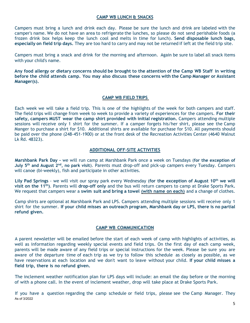#### **CAMP WB LUNCH & SNACKS**

Campers must bring a lunch and drink each day. Please be sure the lunch and drink are labeled with the camper's name. We do not have an area to refrigerate the lunches, so please do not send perishable foods (a frozen drink box helps keep the lunch cool and melts in time for lunch). **Send disposable lunch bags, especially on field trip days.** They are too hard to carry and may not be returned if left at the field trip site.

Campers must bring a snack and drink for the morning and afternoon. Again be sure to label all snack items with your child's name.

**Any food allergy or dietary concerns should be brought to the attention of the Camp WB Staff in writing before the child attends camp. You may also discuss these concerns with the Camp Manager or Assistant Manager(s).**

#### **CAMP WB FIELD TRIPS**

Each week we will take a field trip. This is one of the highlights of the week for both campers and staff. The field trips will change from week to week to provide a variety of experiences for the campers. **For their safety, campers MUST wear the camp shirt provided with initial registration.** Campers attending multiple sessions will receive only 1 shirt for the summer. If a camper forgets his/her shirt, please see the Camp Manger to purchase a shirt for \$10. Additional shirts are available for purchase for \$10. All payments should be paid over the phone (248-451-1900) or at the front desk of the Recreation Activities Center (4640 Walnut Lk Rd. 48323).

#### **ADDITIONAL OFF-SITE ACTIVITIES**

**Marshbank Park Day -** we will run camp at Marshbank Park once a week on Tuesdays (**for the exception of July 5th and August 2nd, no park visit**). Parents must drop-off and pick-up campers every Tuesday. Campers will canoe (bi-weekly), fish and participate in other activities.

**Lily Pad Springs** - we will visit our spray park every Wednesday (**for the exception of August 10th we will visit on the 11th)**. Parents will **drop-off only** and the bus will return campers to camp at Drake Sports Park**.** We request that campers wear a **swim suit and bring a towel (with name on each)** and a change of clothes.

Camp shirts are optional at Marshbank Park and LPS. Campers attending multiple sessions will receive only 1 shirt for the summer. **If your child misses an outreach program, Marshbank day or LPS, there is no partial refund given.**

#### **CAMP WB COMMUNICATION**

A parent newsletter will be emailed before the start of each week of camp with highlights of activities, as well as information regarding weekly special events and field trips. On the first day of each camp week, parents will be made aware of any field trips or special instructions for the week. Please be sure you are aware of the departure time of each trip as we try to follow this schedule as closely as possible, as we have reservations at each location and we don't want to leave without your child. **If your child misses a field trip, there is no refund given.**

The inclement weather notification plan for LPS days will include: an email the day before or the morning of with a phone call. In the event of inclement weather, drop will take place at Drake Sports Park.

As of 3/2022 If you have a question regarding the camp schedule or field trips, please see the Camp Manager. They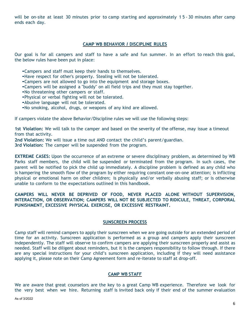will be on-site at least 30 minutes prior to camp starting and approximately 1 5 - 30 minutes after camp ends each day.

#### **CAMP WB BEHAVIOR** *I* **DISCIPLINE RULES**

Our goal is for all campers and staff to have a safe and fun summer. In an effort to reach this goal, the below rules have been put in place:

- •Campers and staff must keep their hands to themselves.
- •Have respect for other's property. Stealing will not be tolerated.
- •Campers are not allowed to go into the equipment and storage boxes.
- •Campers will be assigned <sup>a</sup> "buddy" on all field trips and they must stay together.
- •No threatening other campers or staff.
- •Physical or verbal fighting will not be tolerated.
- •Abusive language will not be tolerated.
- •No smoking, alcohol, drugs, or weapons of any kind are allowed.

If campers violate the above Behavior/Discipline rules we will use the following steps:

**1st Violation:** We will talk to the camper and based on the severity of the offense, may issue a timeout from that activity.

**2nd Violation:** We will issue a time out AND contact the child's parent/guardian.

**3rd Violation:** The camper will be suspended from the program.

**EXTREME CASES:** Upon the occurrence of an extreme or severe disciplinary problem, as determined by WB Parks staff members, the child will be suspended or terminated from the program. In such cases, the parent will be notified to pick the child up immediately. A discipline problem is defined as any child who is hampering the smooth flow of the program by either requiring constant one-on-one attention; is inflicting physical or emotional harm on other children; is physically and/or verbally abusing staff; or is otherwise unable to conform to the expectations outlined in this handbook.

#### **CAMPERS WILL NEVER BE DEPRIVED OF FOOD, NEVER PLACED ALONE WITHOUT SUPERVISION, INTERACTION, OR OBSERVATION; CAMPERS WILL NOT BE SUBJECTED TO RIDICULE, THREAT, CORPORAL PUNISHMENT, EXCESSIVE PHYSICAL EXERCISE, OR EXCESSIVE RESTRAINT.**

#### **SUNSCREEN PROCESS**

Camp staff will remind campers to apply their sunscreen when we are going outside for an extended period of time for an activity. Sunscreen application is performed as a group and campers apply their sunscreen independently. The staff will observe to confirm campers are applying their sunscreen properly and assist as needed. Staff will be diligent about reminders, but it is the campers responsibility to follow through. If there are any special instructions for your child's sunscreen application, including if they will need assistance applying it, please note on their Camp Agreement form and re-iterate to staff at drop-off.

#### **CAMP WB STAFF**

We are aware that great counselors are the key to a great Camp WB experience. Therefore we look for the very best when we hire. Returning staff is invited back only if their end of the summer evaluation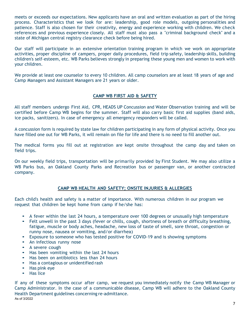meets or exceeds our expectations. New applicants have an oral and written evaluation as part of the hiring process. Characteristics that we look for are: leadership, good role models, outgoing personalities and patience. Staff is also chosen for their creativity, energy and experience working with children. We check references and previous experience closely. All staff must also pass a "criminal background check" and a state of Michigan central registry clearance check before being hired.

Our staff will participate in an extensive orientation training program in which we work on appropriate activities, proper discipline of campers, proper daily procedures, field trip safety, leadership skills, building children's self-esteem, etc. WB Parks believes strongly in preparing these young men and women to work with your children.

We provide at least one counselor to every 10 children. All camp counselors are at least 18 years of age and Camp Managers and Assistant Managers are 21 years or older.

#### **CAMP WB FIRST AID & SAFETY**

All staff members undergo First Aid, CPR, HEADS UP Concussion and Water Observation training and will be certified before Camp WB begins for the summer. Staff will also carry basic first aid supplies (band aids, ice packs, sanitizers). In case of emergency all emergency responders will be called.

A concussion form is required by state law for children participating in any form of physical activity. Once you have filled one out for WB Parks, it will remain on file for life and there is no need to fill another out.

The medical forms you fill out at registration are kept onsite throughout the camp day and taken on field trips.

On our weekly field trips, transportation will be primarily provided by First Student. We may also utilize a WB Parks bus, an Oakland County Parks and Recreation bus or passenger van, or another contracted company.

#### **CAMP WB HEALTH AND SAFETY; ONSITE INJURIES & ALLERGIES**

Each child's health and safety is a matter of importance. With numerous children in our program we request that children be kept home from camp if he/she has:

- <sup>A</sup> fever within the last <sup>24</sup> hours, a temperature over 100 degrees or unusually high temperature
- Felt unwell in the past 3 days (fever or chills, cough, shortness of breath or difficulty breathing, fatigue, muscle or body aches, headache, new loss of taste of smell, sore throat, congestion or runny nose, nausea or vomiting, and/or diarrhea)
- Exposure to someone who has tested positive for COVID-19 and is showing symptoms
- An infectious runny nose
- A severe cough
- Has been vomiting within the last <sup>24</sup> hours
- Has been on antibiotics less than 24 hours
- Has <sup>a</sup> contagious or unidentified rash
- Has pink eye
- Has lice

As of 3/2022 If any of these symptoms occur after camp, we request you immediately notify the Camp WB Manager or Camp Administrator. In the case of a communicable disease, Camp WB will adhere to the Oakland County Health Department guidelines concerning re-admittance.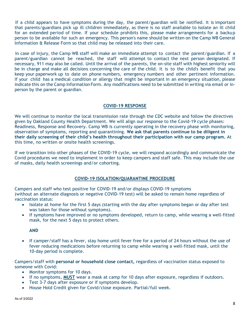If a child appears to have symptoms during the day, the parent/guardian will be notified. It is important that parents/guardians pick up ill children immediately, as there is no staff available to isolate an ill child for an extended period of time. If your schedule prohibits this, please make arrangements for a backup person to be available for such an emergency. This person's name should be written on the Camp WB General Information & Release Form so that child may be released into their care.

In case of injury, the Camp WB staff will make an immediate attempt to contact the parent/guardian. If a parent/guardian cannot be reached, the staff will attempt to contact the next person designated. If necessary, 911 may also be called. Until the arrival of the parents, the on-site staff with highest seniority will be in charge and make all decisions concerning the care of the child. It is to the child's benefit that you keep your paperwork up to date on phone numbers, emergency numbers and other pertinent information. If your child has a medical condition or allergy that might be important in an emergency situation, please indicate this on the Camp Information Form. Any modifications need to be submitted in writing via email or inperson by the parent or guardian.

#### **COVID-19 RESPONSE**

We will continue to monitor the local transmission rate through the CDC website and follow the directives given by Oakland County Health Department. We will align our response to the Covid-19 cycle phases: Readiness, Response and Recovery. Camp WB is currently operating in the recovery phase with monitoring, observation of symptoms, reporting and quarantining. **We ask that parents continue to be diligent in their daily screening of their child's health throughout their participation with our camp program.** At this time, no written or onsite health screenings.

If we transition into other phases of the COVID-19 cycle, we will respond accordingly and communicate the Covid procedures we need to implement in order to keep campers and staff safe. This may include the use of masks, daily health screenings and/or cohorting.

#### **COVID-19 ISOLATION/QUARANTINE PROCEDURE**

Campers and staff who test positive for COVID-19 and/or displays COVID-19 symptoms (without an alternate diagnosis or negative COVID-19 test) will be asked to remain home regardless of vaccination status:

- Isolate at home for the first 5 days (starting with the day after symptoms began or day after test was taken for those without symptoms).
- If symptoms have improved or no symptoms developed, return to camp, while wearing a well-fitted mask, for the next 5 days to protect others.

#### **AND**

• If camper/staff has a fever, stay home until fever free for a period of 24 hours without the use of fever reducing medications before returning to camp while wearing a well-fitted mask, until the 10-day period is complete.

Campers/staff with **personal or household close contact,** regardless of vaccination status exposed to someone with Covid:

- Monitor symptoms for 10 days.
- If no symptoms, **MUST** wear a mask at camp for 10 days after exposure, regardless if outdoors.
- Test 3-7 days after exposure or if symptoms develop.
- House Hold Credit given for Covid/close exposure. Partial/full week.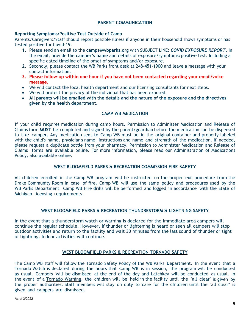#### **PARENT COMMUNICATION**

#### **Reporting Symptoms/Positive Test Outside of Camp**

Parents/Caregivers/Staff should report possible illness if anyone in their household shows symptoms or has tested positive for Covid-19.

- **1.** Please send an email to the **camps@wbparks.org** with SUBJECT LINE: *COVID EXPOSURE REPORT***.** In the email, provide the **camper's name** and details of exposure/symptoms/positive test. Including a specific dated timeline of the onset of symptoms and/or exposure.
- **2.** Secondly, please contact the WB Parks front desk at 248-451-1900 and leave a message with your contact information.
- **3. Please follow-up within one hour if you have not been contacted regarding your email/voice message.**
- We will contact the local health department and our licensing consultants for next steps.
- We will protect the privacy of the individual that has been exposed.
- **All parents will be emailed with the details and the nature of the exposure and the directives given by the health department.**

#### **CAMP WB MEDICATION**

If your child requires medication during camp hours, Permission to Administer Medication and Release of Claims form **MUST** be completed and signed by the parent/guardian before the medication can be dispensed to the camper. Any medication sent to Camp WB must be in the original container and properly labeled with the child's name, physician's name, instructions and name and strength of the medication. If needed, please request a duplicate bottle from your pharmacy. Permission to Administer Medication and Release of Claims forms are available online. For more information, please read our Administration of Medications Policy, also available online.

#### **WEST BLOOMFIELD PARKS & RECREATION COMMISSION FIRE SAFETY**

All children enrolled in the Camp WB program will be instructed on the proper exit procedure from the Drake Community Room in case of fire. Camp WB will use the same policy and procedures used by the WB Parks Department. Camp WB Fire drills will be performed and logged in accordance with the State of Michigan licensing requirements.

#### **WEST BLOOMFIELD PARKS & RECREATION THUNDRESTORM & LIGHTNING SAFETY**

In the event that a thunderstorm watch or warning is declared for the immediate area campers will continue the regular schedule. However, if thunder or lightening is heard or seen all campers will stop outdoor activities and return to the facility and wait 30 minutes from the last sound of thunder or sight of lightning. Indoor activities will continue.

#### **WEST BLOOMFIELD PARKS & RECREATION TORNADO SAFETY**

The Camp WB staff will follow the Tornado Safety Policy of the WB Parks Department. In the event that a Tornado Watch is declared during the hours that Camp WB is in session, the program will be conducted as usual. Campers will be dismissed at the end of the day and Latchkey will be conducted as usual. In the event of a Tornado Warning*,* the children will be held in the facility until the "all clear" is given by the proper authorities. Staff members will stay on duty to care for the children until the "all clear" is given and campers are dismissed.